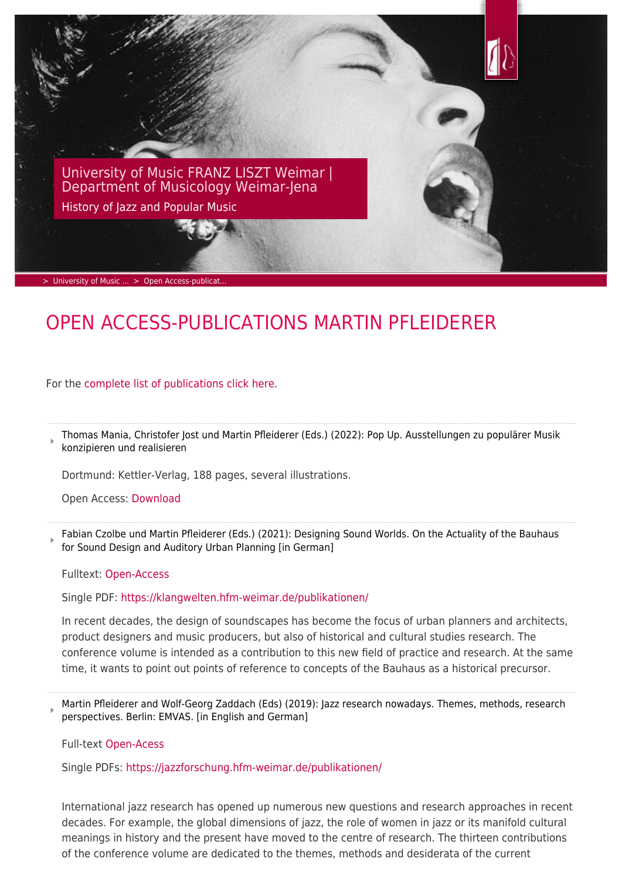

# OPEN ACCESS-PUBLICATIONS MARTIN PFLEIDERER

For the [complete list of publications click here.](https://www.hfm-weimar.de/fileadmin/user_upload/Institute/Musikwissenschaft/Lehrende/Pfleiderer_Martin_Publikationen.pdf)

Thomas Mania, Christofer Jost und Martin Pfleiderer (Eds.) (2022): Pop Up. Ausstellungen zu populärer Musik konzipieren und realisieren

Dortmund: Kettler-Verlag, 188 pages, several illustrations.

Open Access: [Download](https://www.hfm-weimar.de/fileadmin/Jazz_Pop/Pop_Up_Aussstellungen_zu_populaerer_Musik_konzipieren_und_realisieren.pdf)

Fabian Czolbe und Martin Pfleiderer (Eds.) (2021): Designing Sound Worlds. On the Actuality of the Bauhaus for Sound Design and Auditory Urban Planning [in German]

Fulltext: [Open-Access](#page--1-0)

Single PDF: <https://klangwelten.hfm-weimar.de/publikationen/>

In recent decades, the design of soundscapes has become the focus of urban planners and architects, product designers and music producers, but also of historical and cultural studies research. The conference volume is intended as a contribution to this new field of practice and research. At the same time, it wants to point out points of reference to concepts of the Bauhaus as a historical precursor.

Martin Pfleiderer and Wolf-Georg Zaddach (Eds) (2019): Jazz research nowadays. Themes, methods, research perspectives. Berlin: EMVAS. [in English and German]

Full-tex[t Open-Acess](https://e-pub.uni-weimar.de/opus4/frontdoor/index/index/docId/3868) 

Single PDFs: <https://jazzforschung.hfm-weimar.de/publikationen/>

International jazz research has opened up numerous new questions and research approaches in recent decades. For example, the global dimensions of jazz, the role of women in jazz or its manifold cultural meanings in history and the present have moved to the centre of research. The thirteen contributions of the conference volume are dedicated to the themes, methods and desiderata of the current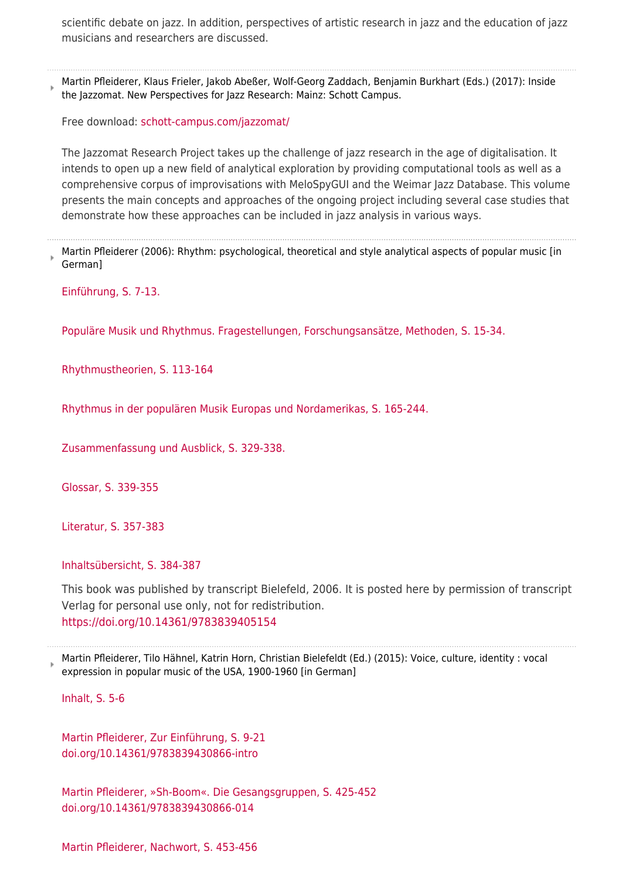scientific debate on jazz. In addition, perspectives of artistic research in jazz and the education of jazz musicians and researchers are discussed.

Martin Pfleiderer, Klaus Frieler, Jakob Abeßer, Wolf-Georg Zaddach, Benjamin Burkhart (Eds.) (2017): Inside the Jazzomat. New Perspectives for Jazz Research: Mainz: Schott Campus.

Free download: [schott-campus.com/jazzomat/](http://schott-campus.com/jazzomat/)

The Jazzomat Research Project takes up the challenge of jazz research in the age of digitalisation. It intends to open up a new field of analytical exploration by providing computational tools as well as a comprehensive corpus of improvisations with MeloSpyGUI and the Weimar Jazz Database. This volume presents the main concepts and approaches of the ongoing project including several case studies that demonstrate how these approaches can be included in jazz analysis in various ways.

Martin Pfleiderer (2006): Rhythm: psychological, theoretical and style analytical aspects of popular music [in German]

[Einführung, S. 7-13.](https://www.hfm-weimar.de/fileadmin/jazz_pop/publikation/rhy_kapitel_1.pdf)

[Populäre Musik und Rhythmus. Fragestellungen, Forschungsansätze, Methoden, S. 15-34.](https://www.hfm-weimar.de/fileadmin/jazz_pop/publikation/rhy_kapitel_2.pdf)

[Rhythmustheorien, S. 113-164](https://www.hfm-weimar.de/fileadmin/jazz_pop/publikation/rhy_kapitel_4.pdf)

[Rhythmus in der populären Musik Europas und Nordamerikas, S. 165-244.](https://www.hfm-weimar.de/fileadmin/jazz_pop/publikation/rhy_kapitel_5.pdf)

[Zusammenfassung und Ausblick, S. 329-338.](https://www.hfm-weimar.de/fileadmin/jazz_pop/publikation/rhy_kapitel_8.pdf)

[Glossar, S. 339-355](https://www.hfm-weimar.de/fileadmin/jazz_pop/publikation/rhy_glossar.pdf)

[Literatur, S. 357-383](https://www.hfm-weimar.de/fileadmin/jazz_pop/publikation/rhy_literatur.pdf)

[Inhaltsübersicht, S. 384-387](https://www.hfm-weimar.de/fileadmin/jazz_pop/publikation/rhy_inhaltsuebersicht.pdf)

This book was published by transcript Bielefeld, 2006. It is posted here by permission of transcript Verlag for personal use only, not for redistribution. <https://doi.org/10.14361/9783839405154>

Martin Pfleiderer, Tilo Hähnel, Katrin Horn, Christian Bielefeldt (Ed.) (2015): Voice, culture, identity : vocal expression in popular music of the USA, 1900-1960 [in German]

[Inhalt, S. 5-6](https://www.hfm-weimar.de/fileadmin/jazz_pop/publikation/stimme_inhalt.pdf)

[Martin Pfleiderer, Zur Einführung, S. 9-21](https://www.hfm-weimar.de/fileadmin/jazz_pop/publikation/stimme_einfuehrung.pdf) [doi.org/10.14361/9783839430866-intro](https://doi.org/10.14361/9783839430866-intro)

[Martin Pfleiderer, »Sh-Boom«. Die Gesangsgruppen, S. 425-452](https://www.hfm-weimar.de/fileadmin/jazz_pop/publikation/stimme_gesangsgruppen.pdf) [doi.org/10.14361/9783839430866-014](https://doi.org/10.14361/9783839430866-014)

[Martin Pfleiderer, Nachwort, S. 453-456](https://www.hfm-weimar.de/fileadmin/jazz_pop/publikation/stimme_nachwort.pdf)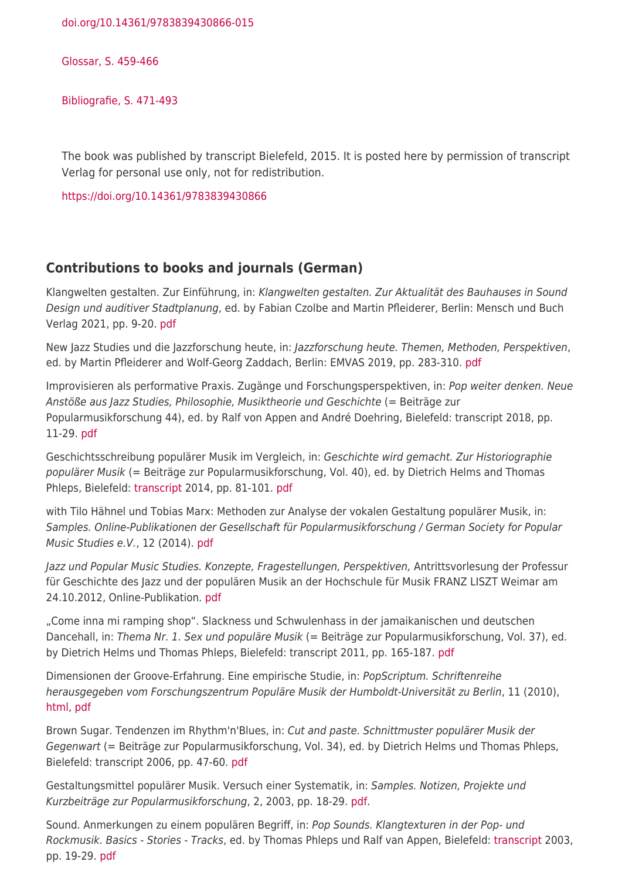[doi.org/10.14361/9783839430866-015](https://doi.org/10.14361/9783839430866-015)

[Glossar, S. 459-466](https://www.hfm-weimar.de/fileadmin/jazz_pop/publikation/stimme_glossar.pdf)

[Bibliografie, S. 471-493](https://www.hfm-weimar.de/fileadmin/jazz_pop/publikation/stimme_bibliografie.pdf)

The book was published by transcript Bielefeld, 2015. It is posted here by permission of transcript Verlag for personal use only, not for redistribution.

<https://doi.org/10.14361/9783839430866>

#### **Contributions to books and journals (German)**

Klangwelten gestalten. Zur Einführung, in: Klangwelten gestalten. Zur Aktualität des Bauhauses in Sound Design und auditiver Stadtplanung, ed. by Fabian Czolbe and Martin Pfleiderer, Berlin: Mensch und Buch Verlag 2021, pp. 9-20. [pdf](https://klangwelten.hfm-weimar.de/wp-content/uploads/2021/02/Klangwelten_Pfleiderer.pdf)

New Jazz Studies und die Jazzforschung heute, in: Jazzforschung heute. Themen, Methoden, Perspektiven, ed. by Martin Pfleiderer and Wolf-Georg Zaddach, Berlin: EMVAS 2019, pp. 283-310. [pdf](https://jazzforschung.hfm-weimar.de/wp-content/uploads/2019/06/JazzforschungHeute2019_Pfleiderer-New-Jazz-Studies-Jazzforschung.pdf)

Improvisieren als performative Praxis. Zugänge und Forschungsperspektiven, in: Pop weiter denken. Neue Anstöße aus Jazz Studies, Philosophie, Musiktheorie und Geschichte (= Beiträge zur Popularmusikforschung 44), ed. by Ralf von Appen and André Doehring, Bielefeld: transcript 2018, pp. 11-29. [pdf](http://geb.uni-giessen.de/geb/volltexte/2020/15273/pdf/Popularmusikforschung44_03_Pfleiderer.pdf)

Geschichtsschreibung populärer Musik im Vergleich, in: Geschichte wird gemacht. Zur Historiographie populärer Musik (= Beiträge zur Popularmusikforschung, Vol. 40), ed. by Dietrich Helms and Thomas Phleps, Bielefeld: [transcript](http://www.transcript-verlag.de/978-3-8376-2510-3/geschichte-wird-gemacht?c=761) 2014, pp. 81-101. [pdf](http://geb.uni-giessen.de/geb/volltexte/2016/11895/pdf/Popularmusikforschung40_05_Pfleiderer.pdf)

with Tilo Hähnel und Tobias Marx: Methoden zur Analyse der vokalen Gestaltung populärer Musik, in: Samples. Online-Publikationen der Gesellschaft für Popularmusikforschung / German Society for Popular Music Studies e.V., 12 (2014). [pdf](http://vg05.met.vgwort.de/na/87f5f347708d46669cbb90c9a687ab25?l=http://www.gfpm-samples.de/Samples12/haehneletal.pdf)

Jazz und Popular Music Studies. Konzepte, Fragestellungen, Perspektiven, Antrittsvorlesung der Professur für Geschichte des Jazz und der populären Musik an der Hochschule für Musik FRANZ LISZT Weimar am 24.10.2012, Online-Publikation. [pdf](http://www.hfm-weimar.de/fileadmin/Jazz_Pop/Publikation/Antrittsvorlesung_Pfleiderer.pdf)

"Come inna mi ramping shop". Slackness und Schwulenhass in der jamaikanischen und deutschen Dancehall, in: Thema Nr. 1. Sex und populäre Musik (= Beiträge zur Popularmusikforschung, Vol. 37), ed. by Dietrich Helms und Thomas Phleps, Bielefeld: transcript 2011, pp. 165-187. [pdf](http://geb.uni-giessen.de/geb/volltexte/2012/8959/pdf/Popularmusikforschung37_165_188.pdf)

Dimensionen der Groove-Erfahrung. Eine empirische Studie, in: PopScriptum. Schriftenreihe herausgegeben vom Forschungszentrum Populäre Musik der Humboldt-Universität zu Berlin, 11 (2010), [html,](http://www2.hu-berlin.de/fpm/popscrip/themen/pst11/pst11_pfleiderer.html) [pdf](http://www2.hu-berlin.de/fpm/popscrip/themen/pst11/pst11_pfleiderer.pdf)

Brown Sugar. Tendenzen im Rhythm'n'Blues, in: Cut and paste. Schnittmuster populärer Musik der Gegenwart (= Beiträge zur Popularmusikforschung, Vol. 34), ed. by Dietrich Helms und Thomas Phleps, Bielefeld: transcript 2006, pp. 47-60. [pdf](http://geb.uni-giessen.de/geb/volltexte/2010/7557/pdf/Popularmusikforschung_34_S47_60.pdf)

Gestaltungsmittel populärer Musik. Versuch einer Systematik, in: Samples. Notizen, Projekte und Kurzbeiträge zur Popularmusikforschung, 2, 2003, pp. 18-29. [pdf](http://aspm.ni.lo-net2.de/samples-archiv/Samples2/pfleidep.pdf).

Sound. Anmerkungen zu einem populären Begriff, in: Pop Sounds. Klangtexturen in der Pop- und Rockmusik. Basics - Stories - Tracks, ed. by Thomas Phleps und Ralf van Appen, Bielefeld: [transcript](http://www.transcript-verlag.de/ts150/ts150.htm) 2003, pp. 19-29. [pdf](https://www.hfm-weimar.de/fileadmin/jazz_pop/publikation/pfleidererpopsounds.pdf)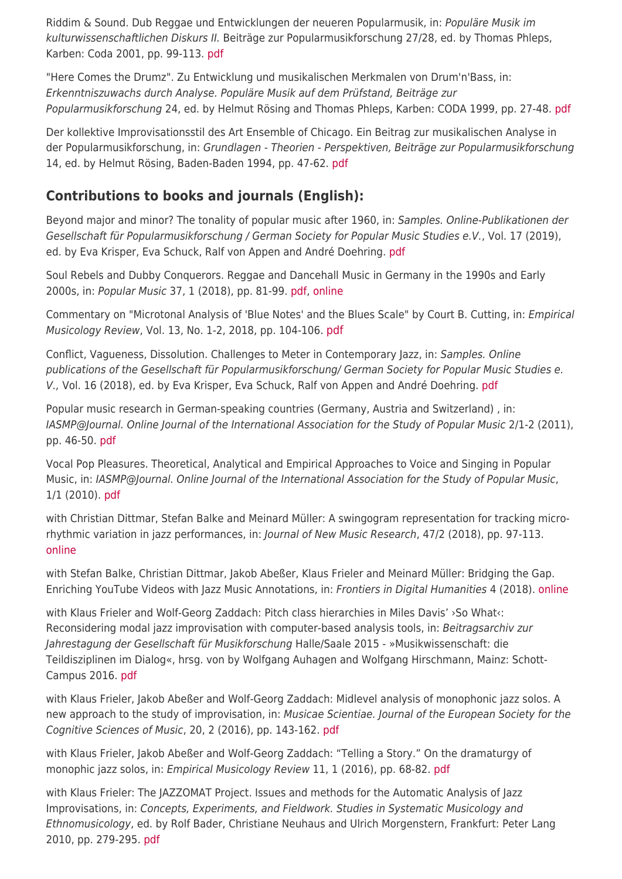Riddim & Sound. Dub Reggae und Entwicklungen der neueren Popularmusik, in: Populäre Musik im kulturwissenschaftlichen Diskurs II. Beiträge zur Popularmusikforschung 27/28, ed. by Thomas Phleps, Karben: Coda 2001, pp. 99-113. [pdf](http://geb.uni-giessen.de/geb/volltexte/2008/5199/pdf/Popularmusik-27_28-S99-114.pdf)

"Here Comes the Drumz". Zu Entwicklung und musikalischen Merkmalen von Drum'n'Bass, in: Erkenntniszuwachs durch Analyse. Populäre Musik auf dem Prüfstand, Beiträge zur Popularmusikforschung 24, ed. by Helmut Rösing and Thomas Phleps, Karben: CODA 1999, pp. 27-48. [pdf](http://geb.uni-giessen.de/geb/volltexte/2008/5345/pdf/PfleidererMartin_S27-48.pdf)

Der kollektive Improvisationsstil des Art Ensemble of Chicago. Ein Beitrag zur musikalischen Analyse in der Popularmusikforschung, in: Grundlagen - Theorien - Perspektiven, Beiträge zur Popularmusikforschung 14, ed. by Helmut Rösing, Baden-Baden 1994, pp. 47-62. [pdf](http://geb.uni-giessen.de/geb/volltexte/2008/5237/pdf/Popularmusik-14_S47-62.pdf)

## **Contributions to books and journals (English):**

Beyond major and minor? The tonality of popular music after 1960, in: Samples. Online-Publikationen der Gesellschaft für Popularmusikforschung / German Society for Popular Music Studies e.V., Vol. 17 (2019), ed. by Eva Krisper, Eva Schuck, Ralf von Appen and André Doehring. [pdf](http://www.gfpm-samples.de/Samples%2017/Pfleiderer.pdf)

Soul Rebels and Dubby Conquerors. Reggae and Dancehall Music in Germany in the 1990s and Early 2000s, in: Popular Music 37, 1 (2018), pp. 81-99. [pdf,](https://www.cambridge.org/core/services/aop-cambridge-core/content/view/46C11835CBB666D555E18855A9E570D3/S0261143017000587a.pdf/soul_rebels_and_dubby_conquerors_reggae_and_dancehall_music_in_germany_in_the_1990s_and_early_2000s.pdf) [online](https://www.cambridge.org/core/journals/popular-music/article/soul-rebels-and-dubby-conquerors-reggae-and-dancehall-music-in-germany-in-the-1990s-and-early-2000s/46C11835CBB666D555E18855A9E570D3/core-reader)

Commentary on "Microtonal Analysis of 'Blue Notes' and the Blues Scale" by Court B. Cutting, in: Empirical Musicology Review, Vol. 13, No. 1-2, 2018, pp. 104-106. [pdf](http://emusicology.org/article/download/6595/5173)

Conflict, Vagueness, Dissolution. Challenges to Meter in Contemporary Jazz, in: Samples. Online publications of the Gesellschaft für Popularmusikforschung/ German Society for Popular Music Studies e. V., Vol. 16 (2018), ed. by Eva Krisper, Eva Schuck, Ralf von Appen and André Doehring. [pdf](http://www.gfpm-samples.de/Samples%2016/pfleiderer.pdf)

Popular music research in German-speaking countries (Germany, Austria and Switzerland) , in: IASMP@Journal. Online Journal of the International Association for the Study of Popular Music 2/1-2 (2011), pp. 46-50. [pdf](http://www.iaspmjournal.net/index.php/IASPM_Journal/article/download/571/577)

Vocal Pop Pleasures. Theoretical, Analytical and Empirical Approaches to Voice and Singing in Popular Music, in: IASMP@Journal. Online Journal of the International Association for the Study of Popular Music, 1/1 (2010). [pdf](http://www.iaspmjournal.net/index.php/IASPM_Journal/article/view/301/547)

with Christian Dittmar, Stefan Balke and Meinard Müller: A swingogram representation for tracking microrhythmic variation in jazz performances, in: Journal of New Music Research, 47/2 (2018), pp. 97-113. [online](https://www.tandfonline.com/doi/full/10.1080/09298215.2017.1367405)

with Stefan Balke, Christian Dittmar, Jakob Abeßer, Klaus Frieler and Meinard Müller: Bridging the Gap. Enriching YouTube Videos with Jazz Music Annotations, in: Frontiers in Digital Humanities 4 (2018). [online](https://www.audiolabs-erlangen.de/content/05-fau/professor/00-mueller/03-publications/2018_BalkeDAFPM_JazzYouTube_Frontiers.pdf)

with Klaus Frieler and Wolf-Georg Zaddach: Pitch class hierarchies in Miles Davis' ›So What‹: Reconsidering modal jazz improvisation with computer-based analysis tools, in: Beitragsarchiv zur Jahrestagung der Gesellschaft für Musikforschung Halle/Saale 2015 - »Musikwissenschaft: die Teildisziplinen im Dialog«, hrsg. von by Wolfgang Auhagen and Wolfgang Hirschmann, Mainz: Schott-Campus 2016. [pdf](http://schott-campus.com/wp-content/uploads/2016/09/pfleiderer_zaddach_frieler-so-what.pdf)

with Klaus Frieler, Jakob Abeßer and Wolf-Georg Zaddach: Midlevel analysis of monophonic jazz solos. A new approach to the study of improvisation, in: Musicae Scientiae. Journal of the European Society for the Cognitive Sciences of Music, 20, 2 (2016), pp. 143-162. [pdf](http://journals.sagepub.com/doi/pdf/10.1177/1029864916636440)

with Klaus Frieler, Jakob Abeßer and Wolf-Georg Zaddach: "Telling a Story." On the dramaturgy of monophic jazz solos, in: Empirical Musicology Review 11, 1 (2016), pp. 68-82. [pdf](http://emusicology.org/article/view/4959/4380)

with Klaus Frieler: The JAZZOMAT Project. Issues and methods for the Automatic Analysis of Jazz Improvisations, in: Concepts, Experiments, and Fieldwork. Studies in Systematic Musicology and Ethnomusicology, ed. by Rolf Bader, Christiane Neuhaus and Ulrich Morgenstern, Frankfurt: Peter Lang 2010, pp. 279-295. [pdf](http://www.mu-on.org/frieler/docs/frieler_pfleiderer_jazzomat.pdf)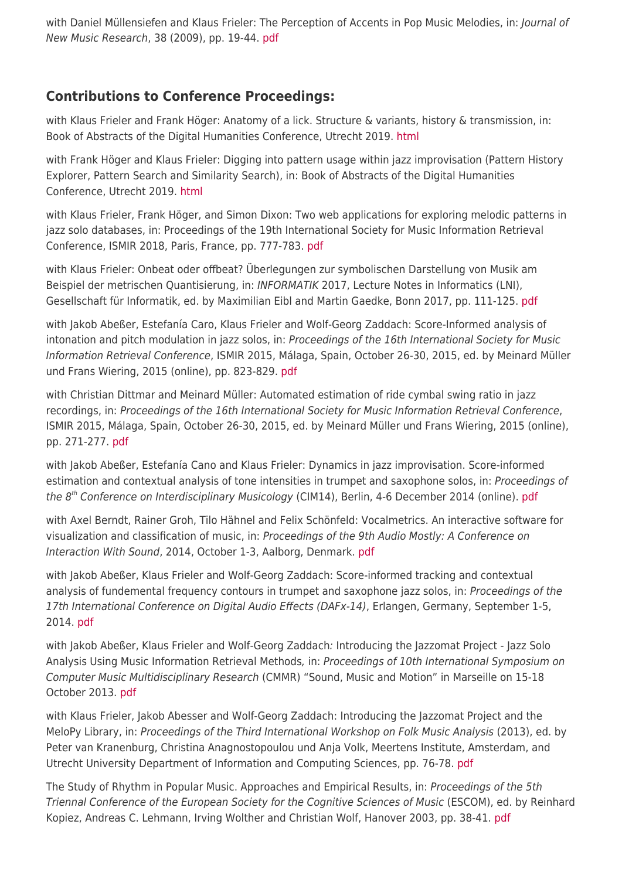with Daniel Müllensiefen and Klaus Frieler: The Perception of Accents in Pop Music Melodies, in: Journal of New Music Research, 38 (2009), pp. 19-44. [pdf](http://www.tandfonline.com/doi/pdf/10.1080/09298210903085857)

### **Contributions to Conference Proceedings:**

with Klaus Frieler and Frank Höger: Anatomy of a lick. Structure & variants, history & transmission, in: Book of Abstracts of the Digital Humanities Conference, Utrecht 2019. [html](https://dev.clariah.nl/files/dh2019/boa/0638.html)

with Frank Höger and Klaus Frieler: Digging into pattern usage within jazz improvisation (Pattern History Explorer, Pattern Search and Similarity Search), in: Book of Abstracts of the Digital Humanities Conference, Utrecht 2019. [html](https://dev.clariah.nl/files/dh2019/boa/0723.html)

with Klaus Frieler, Frank Höger, and Simon Dixon: Two web applications for exploring melodic patterns in jazz solo databases, in: Proceedings of the 19th International Society for Music Information Retrieval Conference, ISMIR 2018, Paris, France, pp. 777-783. [pdf](http://www.mu-on.org/frieler/docs/frieler_et_al_2018_two-web-applications.pdf)

with Klaus Frieler: Onbeat oder offbeat? Überlegungen zur symbolischen Darstellung von Musik am Beispiel der metrischen Quantisierung, in: INFORMATIK 2017, Lecture Notes in Informatics (LNI), Gesellschaft für Informatik, ed. by Maximilian Eibl and Martin Gaedke, Bonn 2017, pp. 111-125[. pdf](https://dl.gi.de/bitstream/handle/20.500.12116/4091/B1-6.pdf)

with Jakob Abeßer, Estefanía Caro, Klaus Frieler and Wolf-Georg Zaddach: Score-Informed analysis of intonation and pitch modulation in jazz solos, in: Proceedings of the 16th International Society for Music Information Retrieval Conference, ISMIR 2015, Málaga, Spain, October 26-30, 2015, ed. by Meinard Müller und Frans Wiering, 2015 (online), pp. 823-829. [pdf](http://ismir2015.uma.es/articles/135_Paper.pdf)

with Christian Dittmar and Meinard Müller: Automated estimation of ride cymbal swing ratio in jazz recordings, in: Proceedings of the 16th International Society for Music Information Retrieval Conference, ISMIR 2015, Málaga, Spain, October 26-30, 2015, ed. by Meinard Müller und Frans Wiering, 2015 (online), pp. 271-277. [pdf](http://ismir2015.uma.es/articles/143_Paper.pdf)

with Jakob Abeßer, Estefanía Cano and Klaus Frieler: Dynamics in jazz improvisation. Score-informed estimation and contextual analysis of tone intensities in trumpet and saxophone solos, in: Proceedings of the 8<sup>th</sup> Conference on Interdisciplinary Musicology (CIM14), Berlin, 4-6 December 2014 (online). [pdf](http://www.mu-on.org/frieler/docs/CIM_2014_Jazz_Solo_Dynamics_FINAL_VERSION.pdf)

with Axel Berndt, Rainer Groh, Tilo Hähnel and Felix Schönfeld: Vocalmetrics. An interactive software for visualization and classification of music, in: Proceedings of the 9th Audio Mostly: A Conference on Interaction With Sound, 2014, October 1-3, Aalborg, Denmark. [pdf](http://www.hfm-weimar.de/popvoices/publikationen/Berndt_et_al_2014_Vocalmetrics.pdf)

with Jakob Abeßer, Klaus Frieler and Wolf-Georg Zaddach: Score-informed tracking and contextual analysis of fundemental frequency contours in trumpet and saxophone jazz solos, in: Proceedings of the 17th International Conference on Digital Audio Effects (DAFx-14), Erlangen, Germany, September 1-5, 2014. [pdf](http://www.dafx14.fau.de/papers/dafx14_jakob_abesser_score_informed_tracking_a.pdf)

with Jakob Abeßer, Klaus Frieler and Wolf-Georg Zaddach: Introducing the Jazzomat Project - Jazz Solo Analysis Using Music Information Retrieval Methods, in: Proceedings of 10th International Symposium on Computer Music Multidisciplinary Research (CMMR) "Sound, Music and Motion" in Marseille on 15-18 October 2013. [pdf](http://www.cmmr2013.cnrs-mrs.fr/Docs/CMMR2013Proceedings.pdf)

with Klaus Frieler, Jakob Abesser and Wolf-Georg Zaddach: Introducing the Jazzomat Project and the MeloPy Library, in: Proceedings of the Third International Workshop on Folk Music Analysis (2013), ed. by Peter van Kranenburg, Christina Anagnostopoulou und Anja Volk, Meertens Institute, Amsterdam, and Utrecht University Department of Information and Computing Sciences, pp. 76-78. [pdf](http://igitur-archive.library.uu.nl/math/2013-0604-200726/fma2013_proceedings.pdf)

The Study of Rhythm in Popular Music. Approaches and Empirical Results, in: Proceedings of the 5th Triennal Conference of the European Society for the Cognitive Sciences of Music (ESCOM), ed. by Reinhard Kopiez, Andreas C. Lehmann, Irving Wolther and Christian Wolf, Hanover 2003, pp. 38-41. [pdf](https://www.hfm-weimar.de/fileadmin/jazz_pop/publikation/escom5.pdf)